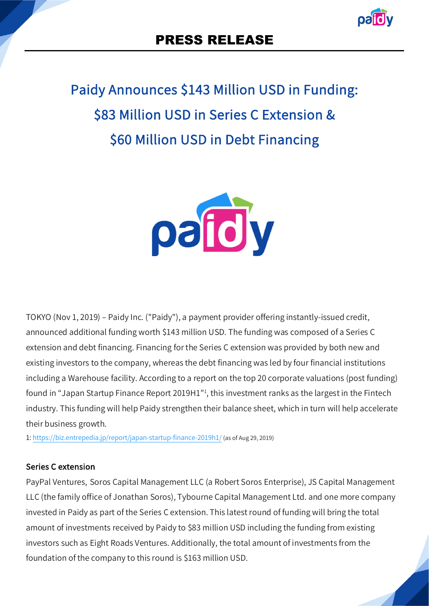# Paidy Announces \$143 Million USD in Funding: \$83 Million USD in Series C Extension & \$60 Million USD in Debt Financing



TOKYO (Nov 1, 2019) – Paidy Inc. ("Paidy"), a payment provider offering instantly-issued credit, announced additional funding worth \$143 million USD. The funding was composed of a Series C extension and debt financing. Financing for the Series C extension was provided by both new and existing investors to the company, whereas the debt financing was led by four financial institutions including a Warehouse facility. According to a report on the top 20 corporate valuations (post funding) found in "Japan Startup Finance Report 2019H1"<sup>1</sup>, this investment ranks as the largest in the Fintech industry. This funding will help Paidy strengthen their balance sheet, which in turn will help accelerate their business growth.

1: https://biz.entrepedia.jp/report/japan-startup-finance-2019h1/ (as of Aug 29, 2019)

#### Series C extension

PayPal Ventures, Soros Capital Management LLC (a Robert Soros Enterprise), JS Capital Management LLC (the family office of Jonathan Soros), Tybourne Capital Management Ltd. and one more company invested in Paidy as part of the Series C extension. This latest round of funding will bring the total amount of investments received by Paidy to \$83 million USD including the funding from existing investors such as Eight Roads Ventures. Additionally, the total amount of investments from the foundation of the company to this round is \$163 million USD.